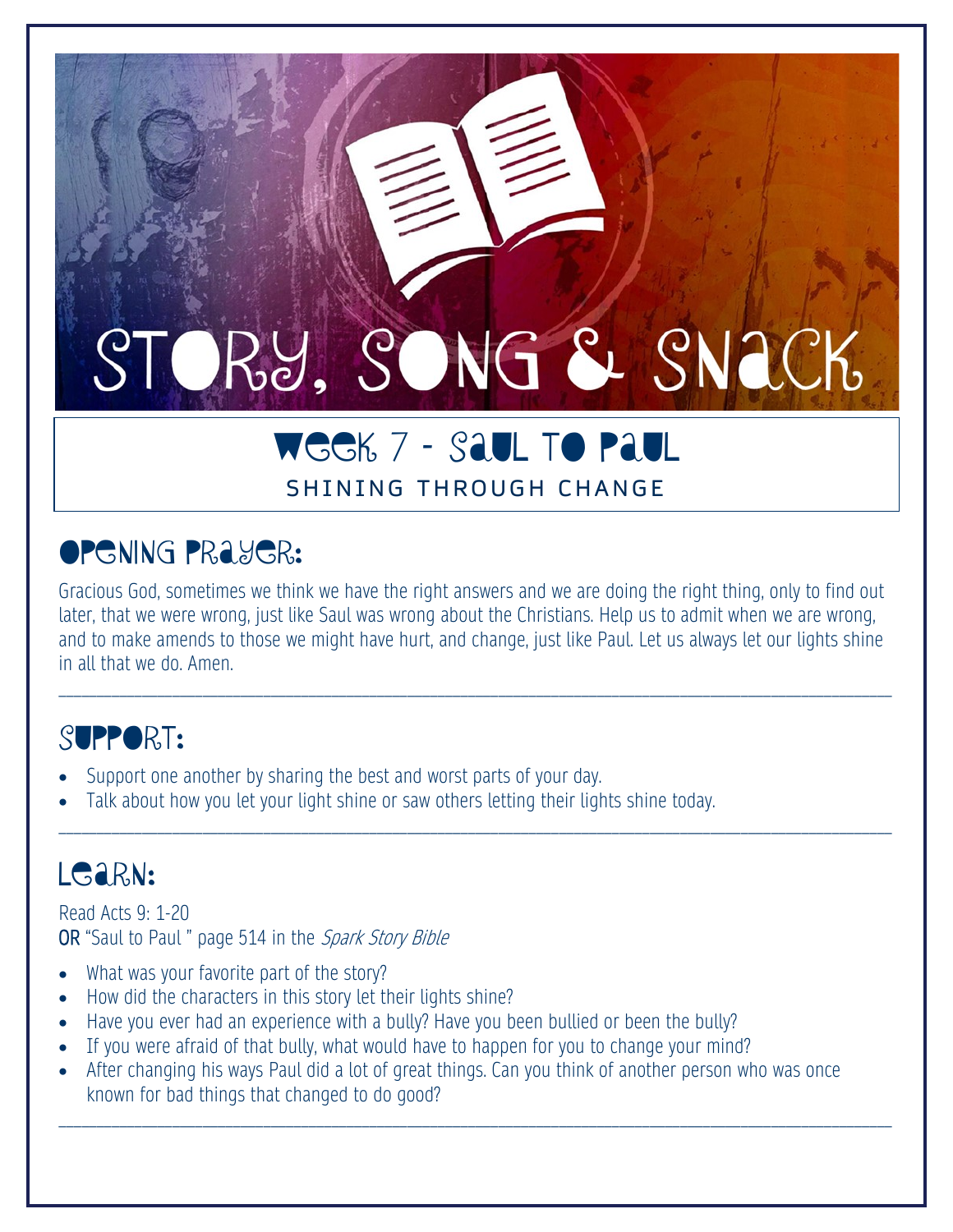# STORY, SONG & SNACK

# WEEK 7 – SAUL to PAUL

#### SHINING THROUGH CHANGE

# **OPENING PRAYER:**

Gracious God, sometimes we think we have the right answers and we are doing the right thing, only to find out later, that we were wrong, just like Saul was wrong about the Christians. Help us to admit when we are wrong, and to make amends to those we might have hurt, and change, just like Paul. Let us always let our lights shine in all that we do. Amen.

\_\_\_\_\_\_\_\_\_\_\_\_\_\_\_\_\_\_\_\_\_\_\_\_\_\_\_\_\_\_\_\_\_\_\_\_\_\_\_\_\_\_\_\_\_\_\_\_\_\_\_\_\_\_\_\_\_\_\_\_\_\_\_\_\_\_\_\_\_\_\_\_\_\_\_\_\_\_\_\_\_\_\_\_\_\_\_\_\_\_\_\_\_\_\_\_\_\_\_\_\_\_\_\_\_\_\_\_\_\_

\_\_\_\_\_\_\_\_\_\_\_\_\_\_\_\_\_\_\_\_\_\_\_\_\_\_\_\_\_\_\_\_\_\_\_\_\_\_\_\_\_\_\_\_\_\_\_\_\_\_\_\_\_\_\_\_\_\_\_\_\_\_\_\_\_\_\_\_\_\_\_\_\_\_\_\_\_\_\_\_\_\_\_\_\_\_\_\_\_\_\_\_\_\_\_\_\_\_\_\_\_\_\_\_\_\_\_\_\_\_

## SUPPORT:

- Support one another by sharing the best and worst parts of your day.
- Talk about how you let your light shine or saw others letting their lights shine today.

# LGARN:

Read Acts 9: 1-20 OR "Saul to Paul " page 514 in the Spark Story Bible

- What was your favorite part of the story?
- How did the characters in this story let their lights shine?
- Have you ever had an experience with a bully? Have you been bullied or been the bully?
- If you were afraid of that bully, what would have to happen for you to change your mind?
- After changing his ways Paul did a lot of great things. Can you think of another person who was once known for bad things that changed to do good?

\_\_\_\_\_\_\_\_\_\_\_\_\_\_\_\_\_\_\_\_\_\_\_\_\_\_\_\_\_\_\_\_\_\_\_\_\_\_\_\_\_\_\_\_\_\_\_\_\_\_\_\_\_\_\_\_\_\_\_\_\_\_\_\_\_\_\_\_\_\_\_\_\_\_\_\_\_\_\_\_\_\_\_\_\_\_\_\_\_\_\_\_\_\_\_\_\_\_\_\_\_\_\_\_\_\_\_\_\_\_